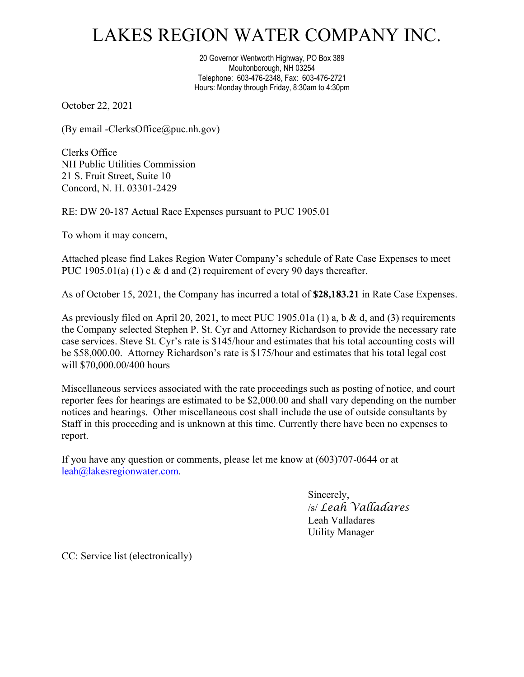## LAKES REGION WATER COMPANY INC.

20 Governor Wentworth Highway, PO Box 389 Moultonborough, NH 03254 Telephone: 603-476-2348, Fax: 603-476-2721 Hours: Monday through Friday, 8:30am to 4:30pm

October 22, 2021

(By email -ClerksOffice@puc.nh.gov)

Clerks Office NH Public Utilities Commission 21 S. Fruit Street, Suite 10 Concord, N. H. 03301-2429

RE: DW 20-187 Actual Race Expenses pursuant to PUC 1905.01

To whom it may concern,

Attached please find Lakes Region Water Company's schedule of Rate Case Expenses to meet PUC 1905.01(a) (1) c & d and (2) requirement of every 90 days thereafter.

As of October 15, 2021, the Company has incurred a total of **\$28,183.21** in Rate Case Expenses.

As previously filed on April 20, 2021, to meet PUC 1905.01a (1) a, b & d, and (3) requirements the Company selected Stephen P. St. Cyr and Attorney Richardson to provide the necessary rate case services. Steve St. Cyr's rate is \$145/hour and estimates that his total accounting costs will be \$58,000.00. Attorney Richardson's rate is \$175/hour and estimates that his total legal cost will \$70,000.00/400 hours

Miscellaneous services associated with the rate proceedings such as posting of notice, and court reporter fees for hearings are estimated to be \$2,000.00 and shall vary depending on the number notices and hearings. Other miscellaneous cost shall include the use of outside consultants by Staff in this proceeding and is unknown at this time. Currently there have been no expenses to report.

If you have any question or comments, please let me know at (603)707-0644 or at [leah@lakesregionwater.com.](mailto:leah@lakesregionwater.com)

> Sincerely, /s/ *Leah Valladares* Leah Valladares Utility Manager

CC: Service list (electronically)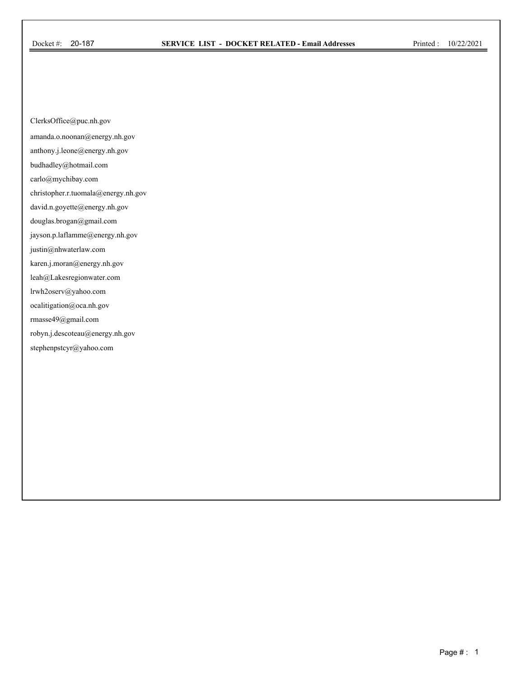ClerksOffice@puc.nh.gov

amanda.o.noonan@energy.nh.gov

anthony.j.leone@energy.nh.gov

budhadley@hotmail.com

carlo@mychibay.com

christopher.r.tuomala@energy.nh.gov

david.n.goyette@energy.nh.gov

douglas.brogan@gmail.com

jayson.p.laflamme@energy.nh.gov

justin@nhwaterlaw.com

karen.j.moran@energy.nh.gov

leah@Lakesregionwater.com

lrwh2oserv@yahoo.com

ocalitigation@oca.nh.gov

rmasse49@gmail.com

robyn.j.descoteau@energy.nh.gov

stephenpstcyr@yahoo.com